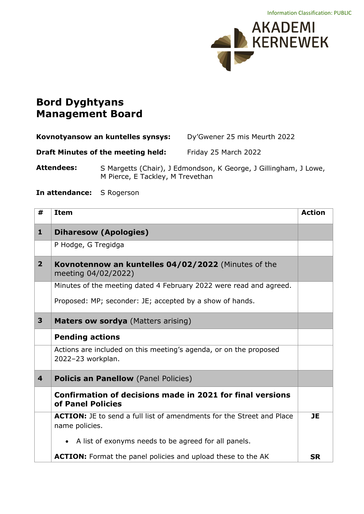

## **Bord Dyghtyans Management Board**

| Kovnotyansow an kuntelles synsys: |                                           | Dy'Gwener 25 mis Meurth 2022                                     |  |
|-----------------------------------|-------------------------------------------|------------------------------------------------------------------|--|
|                                   | <b>Draft Minutes of the meeting held:</b> | Friday 25 March 2022                                             |  |
| Attendees:                        | M Pierce, E Tackley, M Trevethan          | S Margetts (Chair), J Edmondson, K George, J Gillingham, J Lowe, |  |

**In attendance:** S Rogerson

| #              | <b>Item</b>                                                                                    | <b>Action</b> |
|----------------|------------------------------------------------------------------------------------------------|---------------|
| 1              | <b>Diharesow (Apologies)</b>                                                                   |               |
|                | P Hodge, G Tregidga                                                                            |               |
| 2 <sup>1</sup> | Kovnotennow an kuntelles 04/02/2022 (Minutes of the<br>meeting 04/02/2022)                     |               |
|                | Minutes of the meeting dated 4 February 2022 were read and agreed.                             |               |
|                | Proposed: MP; seconder: JE; accepted by a show of hands.                                       |               |
| 3              | <b>Maters ow sordya</b> (Matters arising)                                                      |               |
|                | <b>Pending actions</b>                                                                         |               |
|                | Actions are included on this meeting's agenda, or on the proposed<br>2022-23 workplan.         |               |
| 4              | <b>Policis an Panellow</b> (Panel Policies)                                                    |               |
|                | Confirmation of decisions made in 2021 for final versions<br>of Panel Policies                 |               |
|                | <b>ACTION:</b> JE to send a full list of amendments for the Street and Place<br>name policies. | <b>JE</b>     |
|                | • A list of exonyms needs to be agreed for all panels.                                         |               |
|                | ACTION: Format the panel policies and upload these to the AK                                   | <b>SR</b>     |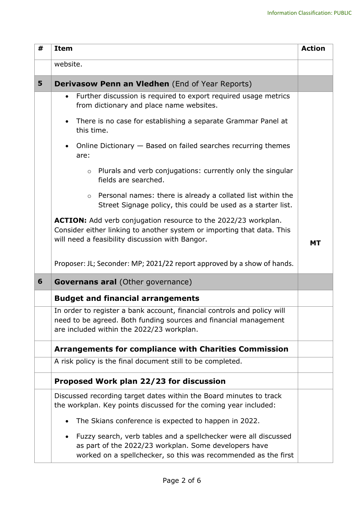| # | <b>Item</b>                                                                                                                                                                                             | <b>Action</b> |
|---|---------------------------------------------------------------------------------------------------------------------------------------------------------------------------------------------------------|---------------|
|   | website.                                                                                                                                                                                                |               |
| 5 | <b>Derivasow Penn an Vledhen</b> (End of Year Reports)                                                                                                                                                  |               |
|   | Further discussion is required to export required usage metrics<br>$\bullet$<br>from dictionary and place name websites.                                                                                |               |
|   | There is no case for establishing a separate Grammar Panel at<br>$\bullet$<br>this time.                                                                                                                |               |
|   | Online Dictionary - Based on failed searches recurring themes<br>$\bullet$<br>are:                                                                                                                      |               |
|   | Plurals and verb conjugations: currently only the singular<br>$\circ$<br>fields are searched.                                                                                                           |               |
|   | Personal names: there is already a collated list within the<br>$\circ$<br>Street Signage policy, this could be used as a starter list.                                                                  |               |
|   | ACTION: Add verb conjugation resource to the 2022/23 workplan.<br>Consider either linking to another system or importing that data. This<br>will need a feasibility discussion with Bangor.             | <b>MT</b>     |
|   | Proposer: JL; Seconder: MP; 2021/22 report approved by a show of hands.                                                                                                                                 |               |
| 6 | <b>Governans aral</b> (Other governance)                                                                                                                                                                |               |
|   | <b>Budget and financial arrangements</b>                                                                                                                                                                |               |
|   | In order to register a bank account, financial controls and policy will<br>need to be agreed. Both funding sources and financial management<br>are included within the 2022/23 workplan.                |               |
|   | <b>Arrangements for compliance with Charities Commission</b>                                                                                                                                            |               |
|   | A risk policy is the final document still to be completed.                                                                                                                                              |               |
|   | Proposed Work plan 22/23 for discussion                                                                                                                                                                 |               |
|   | Discussed recording target dates within the Board minutes to track<br>the workplan. Key points discussed for the coming year included:                                                                  |               |
|   | The Skians conference is expected to happen in 2022.                                                                                                                                                    |               |
|   | Fuzzy search, verb tables and a spellchecker were all discussed<br>$\bullet$<br>as part of the 2022/23 workplan. Some developers have<br>worked on a spellchecker, so this was recommended as the first |               |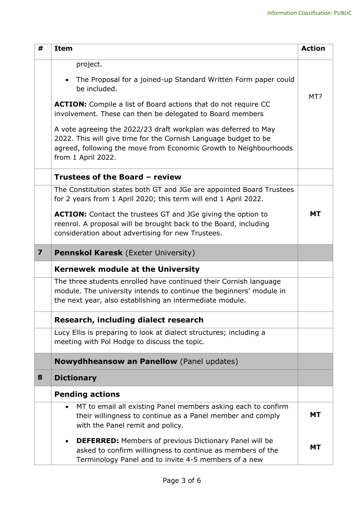| #                       | <b>Item</b>                                                                                                                                                                                                                  | <b>Action</b> |
|-------------------------|------------------------------------------------------------------------------------------------------------------------------------------------------------------------------------------------------------------------------|---------------|
|                         | project.                                                                                                                                                                                                                     |               |
|                         | The Proposal for a joined-up Standard Written Form paper could<br>be included.                                                                                                                                               |               |
|                         | <b>ACTION:</b> Compile a list of Board actions that do not require CC<br>involvement. These can then be delegated to Board members                                                                                           | MT?           |
|                         | A vote agreeing the 2022/23 draft workplan was deferred to May<br>2022. This will give time for the Cornish Language budget to be<br>agreed, following the move from Economic Growth to Neighbourhoods<br>from 1 April 2022. |               |
|                         | Trustees of the Board - review                                                                                                                                                                                               |               |
|                         | The Constitution states both GT and JGe are appointed Board Trustees<br>for 2 years from 1 April 2020; this term will end 1 April 2022.                                                                                      |               |
|                         | <b>ACTION:</b> Contact the trustees GT and JGe giving the option to<br>reenrol. A proposal will be brought back to the Board, including<br>consideration about advertising for new Trustees.                                 | <b>MT</b>     |
| $\overline{\mathbf{z}}$ | <b>Pennskol Karesk</b> (Exeter University)                                                                                                                                                                                   |               |
|                         | <b>Kernewek module at the University</b>                                                                                                                                                                                     |               |
|                         | The three students enrolled have continued their Cornish language<br>module. The university intends to continue the beginners' module in<br>the next year, also establishing an intermediate module.                         |               |
|                         | Research, including dialect research                                                                                                                                                                                         |               |
|                         | Lucy Ellis is preparing to look at dialect structures; including a<br>meeting with Pol Hodge to discuss the topic.                                                                                                           |               |
|                         | <b>Nowydhheansow an Panellow</b> (Panel updates)                                                                                                                                                                             |               |
| 8                       | <b>Dictionary</b>                                                                                                                                                                                                            |               |
|                         | <b>Pending actions</b>                                                                                                                                                                                                       |               |
|                         | MT to email all existing Panel members asking each to confirm<br>$\bullet$<br>their willingness to continue as a Panel member and comply<br>with the Panel remit and policy.                                                 | <b>MT</b>     |
|                         | <b>DEFERRED:</b> Members of previous Dictionary Panel will be<br>$\bullet$<br>asked to confirm willingness to continue as members of the<br>Terminology Panel and to invite 4-5 members of a new                             | <b>MT</b>     |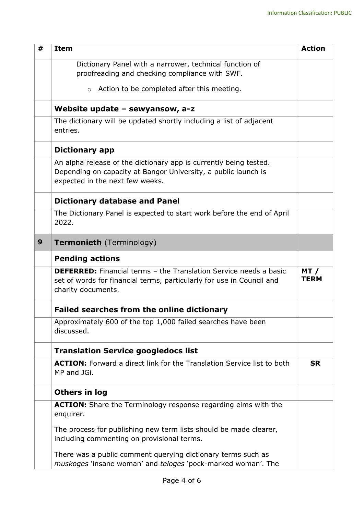| # | <b>Item</b>                                                                                                                                                             | <b>Action</b>       |
|---|-------------------------------------------------------------------------------------------------------------------------------------------------------------------------|---------------------|
|   | Dictionary Panel with a narrower, technical function of<br>proofreading and checking compliance with SWF.                                                               |                     |
|   | Action to be completed after this meeting.<br>$\circ$                                                                                                                   |                     |
|   | Website update $-$ sewyansow, a-z                                                                                                                                       |                     |
|   | The dictionary will be updated shortly including a list of adjacent<br>entries.                                                                                         |                     |
|   | <b>Dictionary app</b>                                                                                                                                                   |                     |
|   | An alpha release of the dictionary app is currently being tested.<br>Depending on capacity at Bangor University, a public launch is<br>expected in the next few weeks.  |                     |
|   | <b>Dictionary database and Panel</b>                                                                                                                                    |                     |
|   | The Dictionary Panel is expected to start work before the end of April<br>2022.                                                                                         |                     |
| 9 | <b>Termonieth</b> (Terminology)                                                                                                                                         |                     |
|   | <b>Pending actions</b>                                                                                                                                                  |                     |
|   | <b>DEFERRED:</b> Financial terms - the Translation Service needs a basic<br>set of words for financial terms, particularly for use in Council and<br>charity documents. | MT /<br><b>TERM</b> |
|   | <b>Failed searches from the online dictionary</b>                                                                                                                       |                     |
|   | Approximately 600 of the top 1,000 failed searches have been<br>discussed.                                                                                              |                     |
|   | <b>Translation Service googledocs list</b>                                                                                                                              |                     |
|   | <b>ACTION:</b> Forward a direct link for the Translation Service list to both<br>MP and JGi.                                                                            | <b>SR</b>           |
|   | Others in log                                                                                                                                                           |                     |
|   | <b>ACTION:</b> Share the Terminology response regarding elms with the<br>enquirer.                                                                                      |                     |
|   | The process for publishing new term lists should be made clearer,<br>including commenting on provisional terms.                                                         |                     |
|   | There was a public comment querying dictionary terms such as<br>muskoges 'insane woman' and teloges 'pock-marked woman'. The                                            |                     |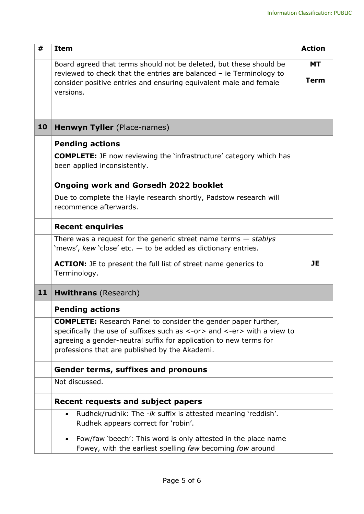| #  | <b>Item</b>                                                                                                                                                                                                                                                             | <b>Action</b>            |
|----|-------------------------------------------------------------------------------------------------------------------------------------------------------------------------------------------------------------------------------------------------------------------------|--------------------------|
|    | Board agreed that terms should not be deleted, but these should be<br>reviewed to check that the entries are balanced $-$ ie Terminology to<br>consider positive entries and ensuring equivalent male and female                                                        | <b>MT</b><br><b>Term</b> |
|    | versions.                                                                                                                                                                                                                                                               |                          |
| 10 | Henwyn Tyller (Place-names)                                                                                                                                                                                                                                             |                          |
|    | <b>Pending actions</b>                                                                                                                                                                                                                                                  |                          |
|    | <b>COMPLETE:</b> JE now reviewing the 'infrastructure' category which has<br>been applied inconsistently.                                                                                                                                                               |                          |
|    | <b>Ongoing work and Gorsedh 2022 booklet</b>                                                                                                                                                                                                                            |                          |
|    | Due to complete the Hayle research shortly, Padstow research will<br>recommence afterwards.                                                                                                                                                                             |                          |
|    | <b>Recent enquiries</b>                                                                                                                                                                                                                                                 |                          |
|    | There was a request for the generic street name terms $-$ stablys<br>'mews', $kew$ 'close' etc. $-$ to be added as dictionary entries.                                                                                                                                  |                          |
|    | <b>ACTION:</b> JE to present the full list of street name generics to<br>Terminology.                                                                                                                                                                                   | <b>JE</b>                |
| 11 | <b>Hwithrans</b> (Research)                                                                                                                                                                                                                                             |                          |
|    | <b>Pending actions</b>                                                                                                                                                                                                                                                  |                          |
|    | <b>COMPLETE:</b> Research Panel to consider the gender paper further,<br>specifically the use of suffixes such as <-or> and <-er> with a view to<br>agreeing a gender-neutral suffix for application to new terms for<br>professions that are published by the Akademi. |                          |
|    | <b>Gender terms, suffixes and pronouns</b>                                                                                                                                                                                                                              |                          |
|    | Not discussed.                                                                                                                                                                                                                                                          |                          |
|    | <b>Recent requests and subject papers</b>                                                                                                                                                                                                                               |                          |
|    | Rudhek/rudhik: The -ik suffix is attested meaning 'reddish'.<br>$\bullet$<br>Rudhek appears correct for 'robin'.                                                                                                                                                        |                          |
|    | Fow/faw 'beech': This word is only attested in the place name<br>Fowey, with the earliest spelling faw becoming fow around                                                                                                                                              |                          |